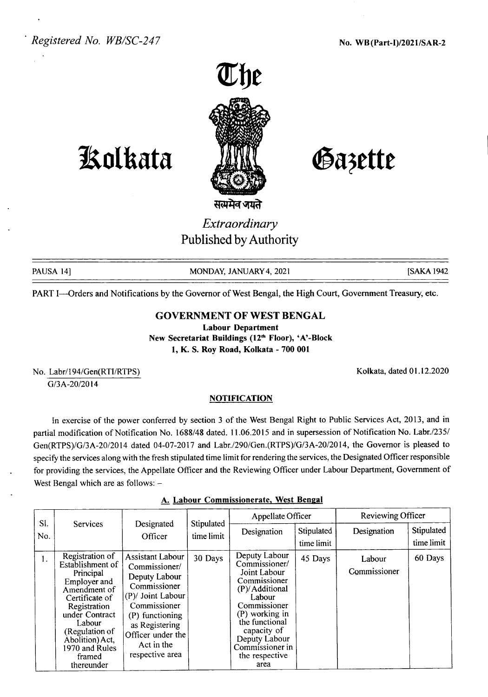

## **JAolkata**

Gazette

*Extraordinary*

Published by Authority

PAUSA 14] MONDAY, JANUARY 4, 2021 [SAKA 1942

Kolkata, dated 01.12.2020

PART I-Orders and Notifications by the Governor of West Bengal, the High Court, Government Treasury, etc.

## GOVERNMENT OF WEST BENGAL

Labour Department New Secretariat Buildings (12<sup>th</sup> Floor), 'A'-Block 1, K. S. Roy Road, Kolkata - 700 001

No. Labr/194/Gen(RTI/RTPS) G/3A-20/2014

**NOTIFICATION** 

In exercise of the power conferred by section 3 of the West Bengal Right to Public Services Act, 2013, and in partial modification of Notification No. 1688/48 dated. 11.06.2015 and in supersession of Notification No. Labr./235/ Gen(RTPS)/G/3A-20/2014 dated 04-07-2017 and Labr./290/Gen.(RTPS)/G/3A-20/2014, the Governor is pleased to specify the services along with the fresh stipulated time limit for rendering the services, the Designated Officer responsible for providing the services, the Appellate Officer and the Reviewing Officer under Labour Department, Government of West Bengal which are as follows:  $-$ 

|  | A. Labour Commissionerate, West Bengal |  |
|--|----------------------------------------|--|
|  |                                        |  |

| SI. |                                                                                                                                                                                                                               |                                                                                                                                                                                                           |                          | Appellate Officer                                                                                                                                                                                                           |                          | Reviewing Officer      |                          |
|-----|-------------------------------------------------------------------------------------------------------------------------------------------------------------------------------------------------------------------------------|-----------------------------------------------------------------------------------------------------------------------------------------------------------------------------------------------------------|--------------------------|-----------------------------------------------------------------------------------------------------------------------------------------------------------------------------------------------------------------------------|--------------------------|------------------------|--------------------------|
| No. | <b>Services</b>                                                                                                                                                                                                               | Designated<br>Officer                                                                                                                                                                                     | Stipulated<br>time limit | Designation                                                                                                                                                                                                                 | Stipulated<br>time limit | Designation            | Stipulated<br>time limit |
| 1.  | Registration of<br>Establishment of<br>Principal<br>Employer and<br>Amendment of<br>Certificate of<br>Registration<br>under Contract<br>Labour<br>(Regulation of<br>Abolition) Act,<br>1970 and Rules<br>framed<br>thereunder | <b>Assistant Labour</b><br>Commissioner/<br>Deputy Labour<br>Commissioner<br>(P)/ Joint Labour<br>Commissioner<br>(P) functioning<br>as Registering<br>Officer under the<br>Act in the<br>respective area | 30 Days                  | Deputy Labour<br>Commissioner/<br>Joint Labour<br>Commissioner<br>(P)/Additional<br>Labour<br>Commissioner<br>(P) working in<br>the functional<br>capacity of<br>Deputy Labour<br>Commissioner in<br>the respective<br>area | 45 Days                  | Labour<br>Commissioner | 60 Days                  |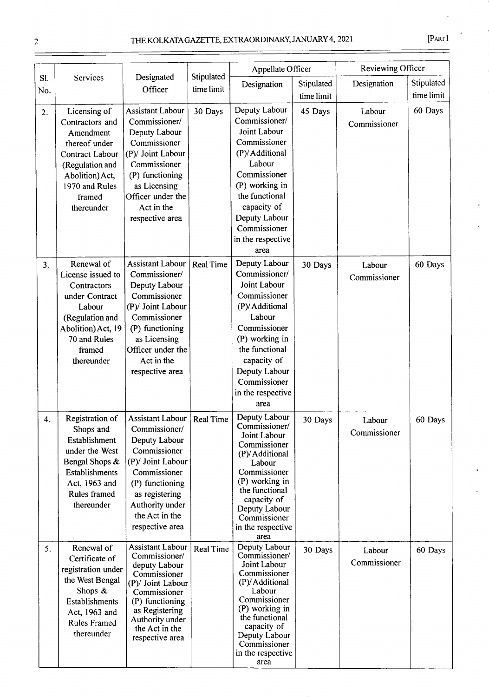|--|--|

|                  |                                                                                                                                                                  |                                                                                                                                                                                                             |                          | Appellate Officer                                                                                                                                                                                                           |                          | Reviewing Officer      |                          |
|------------------|------------------------------------------------------------------------------------------------------------------------------------------------------------------|-------------------------------------------------------------------------------------------------------------------------------------------------------------------------------------------------------------|--------------------------|-----------------------------------------------------------------------------------------------------------------------------------------------------------------------------------------------------------------------------|--------------------------|------------------------|--------------------------|
| Sl.<br>No.       | Services                                                                                                                                                         | Designated<br>Officer                                                                                                                                                                                       | Stipulated<br>time limit | Designation                                                                                                                                                                                                                 | Stipulated<br>time limit | Designation            | Stipulated<br>time limit |
| $\overline{2}$ . | Licensing of<br>Contractors and<br>Amendment<br>thereof under<br>Contract Labour<br>(Regulation and<br>Abolition) Act,<br>1970 and Rules<br>framed<br>thereunder | <b>Assistant Labour</b><br>Commissioner/<br>Deputy Labour<br>Commissioner<br>(P)/ Joint Labour<br>Commissioner<br>(P) functioning<br>as Licensing<br>Officer under the<br>Act in the<br>respective area     | 30 Days                  | Deputy Labour<br>Commissioner/<br>Joint Labour<br>Commissioner<br>(P)/Additional<br>Labour<br>Commissioner<br>(P) working in<br>the functional<br>capacity of<br>Deputy Labour<br>Commissioner<br>in the respective<br>area | 45 Days                  | Labour<br>Commissioner | 60 Days                  |
| 3 <sub>1</sub>   | Renewal of<br>License issued to<br>Contractors<br>under Contract<br>Labour<br>(Regulation and<br>Abolition) Act, 19<br>70 and Rules<br>framed<br>thereunder      | <b>Assistant Labour</b><br>Commissioner/<br>Deputy Labour<br>Commissioner<br>(P)/ Joint Labour<br>Commissioner<br>(P) functioning<br>as Licensing<br>Officer under the<br>Act in the<br>respective area     | <b>Real Time</b>         | Deputy Labour<br>Commissioner/<br>Joint Labour<br>Commissioner<br>(P)/Additional<br>Labour<br>Commissioner<br>(P) working in<br>the functional<br>capacity of<br>Deputy Labour<br>Commissioner<br>in the respective<br>area | 30 Days                  | Labour<br>Commissioner | 60 Days                  |
| 4.               | Registration of<br>Shops and<br>Establishment<br>under the West<br>Bengal Shops &<br>Establishments<br>Act, 1963 and<br>Rules framed<br>thereunder               | <b>Assistant Labour</b><br>Commissioner/<br>Deputy Labour<br>Commissioner<br>(P)/ Joint Labour<br>Commissioner<br>(P) functioning<br>as registering<br>Authority under<br>the Act in the<br>respective area | <b>Real Time</b>         | Deputy Labour<br>Commissioner/<br>Joint Labour<br>Commissioner<br>(P)/Additional<br>Labour<br>Commissioner<br>(P) working in<br>the functional<br>capacity of<br>Deputy Labour<br>Commissioner<br>in the respective<br>area | 30 Days                  | Labour<br>Commissioner | 60 Days                  |
| 5.               | Renewal of<br>Certificate of<br>registration under<br>the West Bengal<br>Shops &<br>Establishments<br>Act, 1963 and<br><b>Rules Framed</b><br>thereunder         | <b>Assistant Labour</b><br>Commissioner/<br>deputy Labour<br>Commissioner<br>(P)/ Joint Labour<br>Commissioner<br>(P) functioning<br>as Registering<br>Authority under<br>the Act in the<br>respective area | <b>Real Time</b>         | Deputy Labour<br>Commissioner/<br>Joint Labour<br>Commissioner<br>(P)/Additional<br>Labour<br>Commissioner<br>(P) working in<br>the functional<br>capacity of<br>Deputy Labour<br>Commissioner<br>in the respective<br>area | 30 Days                  | Labour<br>Commissioner | 60 Days                  |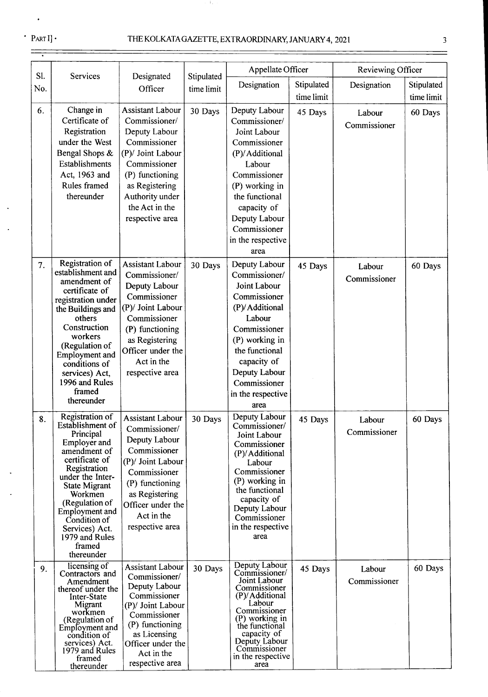$\ddot{\phantom{1}}$ 

 $\Delta$ 

 $\frac{1}{\sqrt{1-\frac{1}{2}}\left(1-\frac{1}{2}\right)}\left(\frac{1}{\sqrt{1-\frac{1}{2}}}\right)^{\frac{1}{2}}\left(\frac{1}{\sqrt{1-\frac{1}{2}}}\right)^{\frac{1}{2}}\left(\frac{1}{\sqrt{1-\frac{1}{2}}}\right)^{\frac{1}{2}}\left(\frac{1}{\sqrt{1-\frac{1}{2}}}\right)^{\frac{1}{2}}\left(\frac{1}{\sqrt{1-\frac{1}{2}}}\right)^{\frac{1}{2}}\left(\frac{1}{\sqrt{1-\frac{1}{2}}}\right)^{\frac{1}{2}}\left(\frac{1}{\sqrt{1-\frac{1}{2}}}\right)^{\frac$ 

 $\ddot{\phantom{0}}$ 

e Ba

|            |                                                                                                                                                                                                                                                                                                  |                                                                                                                                                                                                             |                          | Appellate Officer                                                                                                                                                                                                           |                          | Reviewing Officer      |                          |
|------------|--------------------------------------------------------------------------------------------------------------------------------------------------------------------------------------------------------------------------------------------------------------------------------------------------|-------------------------------------------------------------------------------------------------------------------------------------------------------------------------------------------------------------|--------------------------|-----------------------------------------------------------------------------------------------------------------------------------------------------------------------------------------------------------------------------|--------------------------|------------------------|--------------------------|
| Sl.<br>No. | Services                                                                                                                                                                                                                                                                                         | Designated<br>Officer                                                                                                                                                                                       | Stipulated<br>time limit | Designation                                                                                                                                                                                                                 | Stipulated<br>time limit | Designation            | Stipulated<br>time limit |
| 6.         | Change in<br>Certificate of<br>Registration<br>under the West<br>Bengal Shops &<br>Establishments<br>Act, 1963 and<br>Rules framed<br>thereunder                                                                                                                                                 | <b>Assistant Labour</b><br>Commissioner/<br>Deputy Labour<br>Commissioner<br>(P)/ Joint Labour<br>Commissioner<br>(P) functioning<br>as Registering<br>Authority under<br>the Act in the<br>respective area | 30 Days                  | Deputy Labour<br>Commissioner/<br>Joint Labour<br>Commissioner<br>(P)/Additional<br>Labour<br>Commissioner<br>(P) working in<br>the functional<br>capacity of<br>Deputy Labour<br>Commissioner<br>in the respective<br>area | 45 Days                  | Labour<br>Commissioner | 60 Days                  |
| 7.         | Registration of<br>establishment and<br>amendment of<br>certificate of<br>registration under<br>the Buildings and<br>others<br>Construction<br>workers<br>(Regulation of<br>Employment and<br>conditions of<br>services) Act,<br>1996 and Rules<br>framed<br>thereunder                          | <b>Assistant Labour</b><br>Commissioner/<br>Deputy Labour<br>Commissioner<br>(P)/ Joint Labour<br>Commissioner<br>(P) functioning<br>as Registering<br>Officer under the<br>Act in the<br>respective area   | 30 Days                  | Deputy Labour<br>Commissioner/<br>Joint Labour<br>Commissioner<br>(P)/Additional<br>Labour<br>Commissioner<br>(P) working in<br>the functional<br>capacity of<br>Deputy Labour<br>Commissioner<br>in the respective<br>area | 45 Days                  | Labour<br>Commissioner | 60 Days                  |
| 8.         | Registration of<br>Establishment of<br>Principal<br>Employer and<br>amendment of<br>certificate of<br>Registration<br>under the Inter-<br><b>State Migrant</b><br>Workmen<br>(Regulation of<br><b>Employment</b> and<br>Condition of<br>Services) Act.<br>1979 and Rules<br>framed<br>thereunder | <b>Assistant Labour</b><br>Commissioner/<br>Deputy Labour<br>Commissioner<br>(P)/ Joint Labour<br>Commissioner<br>(P) functioning<br>as Registering<br>Officer under the<br>Act in the<br>respective area   | 30 Days                  | Deputy Labour<br>Commissioner/<br>Joint Labour<br>Commissioner<br>(P)/Additional<br>Labour<br>Commissioner<br>(P) working in<br>the functional<br>capacity of<br>Deputy Labour<br>Commissioner<br>in the respective<br>area | 45 Days                  | Labour<br>Commissioner | 60 Days                  |
| 9.         | licensing of<br>Contractors and<br>Amendment<br>thereof under the<br>Inter-State<br>Migrant<br>workmen<br>(Regulation of<br>Employment and<br>condition of<br>services) Act.<br>1979 and Rules<br>framed<br>thereunder                                                                           | <b>Assistant Labour</b><br>Commissioner/<br>Deputy Labour<br>Commissioner<br>(P)/ Joint Labour<br>Commissioner<br>(P) functioning<br>as Licensing<br>Officer under the<br>Act in the<br>respective area     | 30 Days                  | Deputy Labour<br>Commissioner/<br>Joint Labour<br>Commissioner<br>(P)/Additional<br>Labour<br>Commissioner<br>(P) working in<br>the functional<br>capacity of<br>Deputy Labour<br>Commissioner<br>in the respective<br>area | 45 Days                  | Labour<br>Commissioner | 60 Days                  |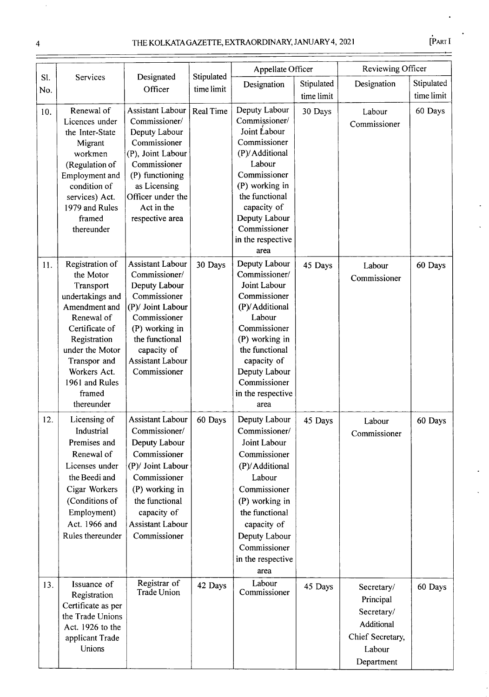$\ddot{\phantom{0}}$ 

|            |                                                                                                                                                                                                                             |                                                                                                                                                                                                              |                          | Appellate Officer                                                                                                                                                                                                           |                          | Reviewing Officer                                                                               |                          |
|------------|-----------------------------------------------------------------------------------------------------------------------------------------------------------------------------------------------------------------------------|--------------------------------------------------------------------------------------------------------------------------------------------------------------------------------------------------------------|--------------------------|-----------------------------------------------------------------------------------------------------------------------------------------------------------------------------------------------------------------------------|--------------------------|-------------------------------------------------------------------------------------------------|--------------------------|
| Sl.<br>No. | Services                                                                                                                                                                                                                    | Designated<br>Officer                                                                                                                                                                                        | Stipulated<br>time limit | Designation                                                                                                                                                                                                                 | Stipulated<br>time limit | Designation                                                                                     | Stipulated<br>time limit |
| 10.        | Renewal of<br>Licences under<br>the Inter-State<br>Migrant<br>workmen<br>(Regulation of<br>Employment and<br>condition of<br>services) Act.<br>1979 and Rules<br>framed<br>thereunder                                       | Assistant Labour<br>Commissioner/<br>Deputy Labour<br>Commissioner<br>(P), Joint Labour<br>Commissioner<br>(P) functioning<br>as Licensing<br>Officer under the<br>Act in the<br>respective area             | <b>Real Time</b>         | Deputy Labour<br>Commissioner/<br>Joint Labour<br>Commissioner<br>(P)/Additional<br>Labour<br>Commissioner<br>(P) working in<br>the functional<br>capacity of<br>Deputy Labour<br>Commissioner<br>in the respective<br>area | 30 Days                  | Labour<br>Commissioner                                                                          | 60 Days                  |
| 11.        | Registration of<br>the Motor<br>Transport<br>undertakings and<br>Amendment and<br>Renewal of<br>Certificate of<br>Registration<br>under the Motor<br>Transpor and<br>Workers Act.<br>1961 and Rules<br>framed<br>thereunder | <b>Assistant Labour</b><br>Commissioner/<br>Deputy Labour<br>Commissioner<br>(P)/ Joint Labour<br>Commissioner<br>(P) working in<br>the functional<br>capacity of<br><b>Assistant Labour</b><br>Commissioner | 30 Days                  | Deputy Labour<br>Commissioner/<br>Joint Labour<br>Commissioner<br>(P)/Additional<br>Labour<br>Commissioner<br>(P) working in<br>the functional<br>capacity of<br>Deputy Labour<br>Commissioner<br>in the respective<br>area | 45 Days                  | Labour<br>Commissioner                                                                          | 60 Days                  |
| 12.        | Licensing of<br>Industrial<br>Premises and<br>Renewal of<br>Licenses under<br>the Beedi and<br>Cigar Workers<br>(Conditions of<br>Employment)<br>Act. 1966 and<br>Rules thereunder                                          | <b>Assistant Labour</b><br>Commissioner/<br>Deputy Labour<br>Commissioner<br>(P)/ Joint Labour<br>Commissioner<br>(P) working in<br>the functional<br>capacity of<br><b>Assistant Labour</b><br>Commissioner | 60 Days                  | Deputy Labour<br>Commissioner/<br>Joint Labour<br>Commissioner<br>(P)/Additional<br>Labour<br>Commissioner<br>(P) working in<br>the functional<br>capacity of<br>Deputy Labour<br>Commissioner<br>in the respective<br>area | 45 Days                  | Labour<br>Commissioner                                                                          | 60 Days                  |
| 13.        | Issuance of<br>Registration<br>Certificate as per<br>the Trade Unions<br>Act. 1926 to the<br>applicant Trade<br>Unions                                                                                                      | Registrar of<br><b>Trade Union</b>                                                                                                                                                                           | 42 Days                  | Labour<br>Commissioner                                                                                                                                                                                                      | 45 Days                  | Secretary/<br>Principal<br>Secretary/<br>Additional<br>Chief Secretary,<br>Labour<br>Department | 60 Days                  |

 $\hat{\mathcal{A}}$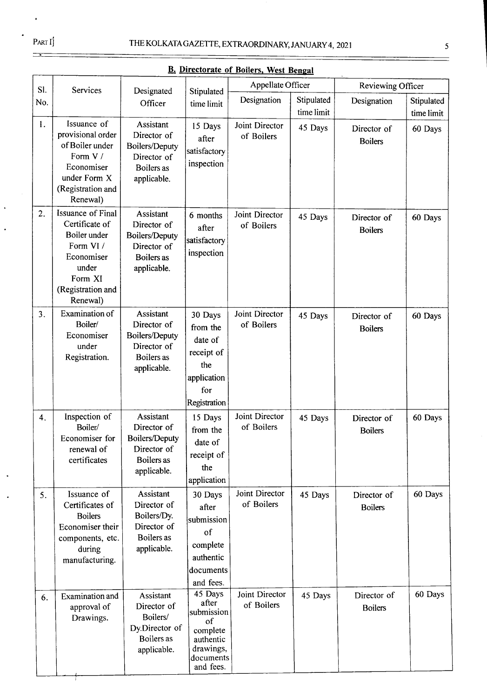$\rightarrow$ 

 $\ddot{\phantom{1}}$ 

|   |   | ۰  |  |
|---|---|----|--|
| × |   |    |  |
|   | I |    |  |
|   |   | ۰. |  |
|   | v |    |  |

| Sl. | Services                                                                                                                                   | Designated                                                                                           | Stipulated                                                                                           | Appellate Officer            |                          | Reviewing Officer             |                          |
|-----|--------------------------------------------------------------------------------------------------------------------------------------------|------------------------------------------------------------------------------------------------------|------------------------------------------------------------------------------------------------------|------------------------------|--------------------------|-------------------------------|--------------------------|
| No. |                                                                                                                                            | Officer                                                                                              | time limit                                                                                           | Designation                  | Stipulated<br>time limit | Designation                   | Stipulated<br>time limit |
| 1.  | Issuance of<br>provisional order<br>of Boiler under<br>Form V /<br>Economiser<br>under Form X<br>(Registration and<br>Renewal)             | <b>Assistant</b><br>Director of<br>Boilers/Deputy<br>Director of<br>Boilers as<br>applicable.        | 15 Days<br>after<br>satisfactory<br>inspection                                                       | Joint Director<br>of Boilers | 45 Days                  | Director of<br><b>Boilers</b> | 60 Days                  |
| 2.  | <b>Issuance of Final</b><br>Certificate of<br>Boiler under<br>Form VI /<br>Economiser<br>under<br>Form XI<br>(Registration and<br>Renewal) | <b>Assistant</b><br>Director of<br><b>Boilers/Deputy</b><br>Director of<br>Boilers as<br>applicable. | 6 months<br>after<br>satisfactory<br>inspection                                                      | Joint Director<br>of Boilers | 45 Days                  | Director of<br><b>Boilers</b> | 60 Days                  |
| 3.  | <b>Examination of</b><br>Boiler/<br>Economiser<br>under<br>Registration.                                                                   | Assistant<br>Director of<br>Boilers/Deputy<br>Director of<br>Boilers as<br>applicable.               | 30 Days<br>from the<br>date of<br>receipt of<br>the<br>application<br>for<br>Registration            | Joint Director<br>of Boilers | 45 Days                  | Director of<br><b>Boilers</b> | 60 Days                  |
| 4.  | Inspection of<br>Boiler/<br>Economiser for<br>renewal of<br>certificates                                                                   | <b>Assistant</b><br>Director of<br><b>Boilers/Deputy</b><br>Director of<br>Boilers as<br>applicable. | 15 Days<br>from the<br>date of<br>receipt of<br>the<br>application                                   | Joint Director<br>of Boilers | 45 Days                  | Director of<br><b>Boilers</b> | 60 Days                  |
| 5.  | Issuance of<br>Certificates of<br><b>Boilers</b><br>Economiser their<br>components, etc.<br>during<br>manufacturing.                       | Assistant<br>Director of<br>Boilers/Dy.<br>Director of<br>Boilers as<br>applicable.                  | 30 Days<br>after<br>submission<br>of<br>complete<br>authentic<br>documents<br>and fees.              | Joint Director<br>of Boilers | 45 Days                  | Director of<br><b>Boilers</b> | 60 Days                  |
| 6.  | Examination and<br>approval of<br>Drawings.                                                                                                | Assistant<br>Director of<br>Boilers/<br>Dy.Director of<br>Boilers as<br>applicable.                  | 45 Days<br>after<br>submission<br>of<br>complete<br>authentic<br>drawings,<br>documents<br>and fees. | Joint Director<br>of Boilers | 45 Days                  | Director of<br><b>Boilers</b> | 60 Days                  |

**B. Directorate of Boilers, West Bengal**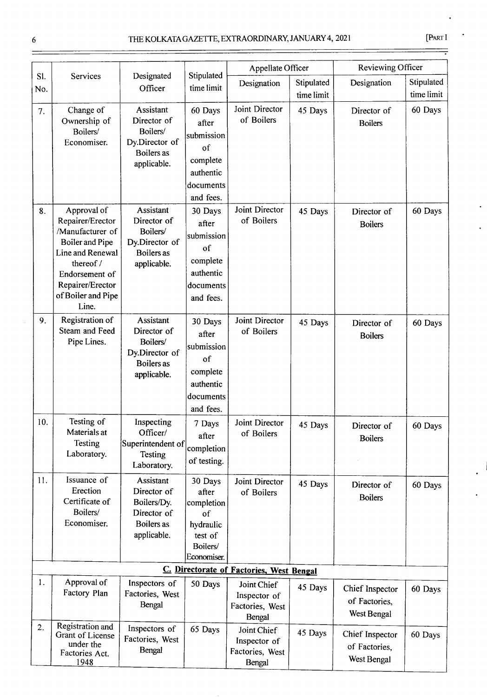| ×<br>٠ |
|--------|
|--------|

|     |                                                                                                                                                                              |                                                                                            |                                                                                         | Appellate Officer                                        |            | Reviewing Officer                               |            |
|-----|------------------------------------------------------------------------------------------------------------------------------------------------------------------------------|--------------------------------------------------------------------------------------------|-----------------------------------------------------------------------------------------|----------------------------------------------------------|------------|-------------------------------------------------|------------|
| SI. | Services                                                                                                                                                                     | Designated                                                                                 | Stipulated                                                                              | Designation                                              | Stipulated | Designation                                     | Stipulated |
| No. |                                                                                                                                                                              | Officer                                                                                    | time limit                                                                              |                                                          | time limit |                                                 | time limit |
| 7.  | Change of<br>Ownership of<br>Boilers/<br>Economiser.                                                                                                                         | Assistant<br>Director of<br>Boilers/<br>Dy.Director of<br>Boilers as<br>applicable.        | 60 Days<br>after<br>submission<br>of<br>complete<br>authentic<br>documents<br>and fees. | Joint Director<br>of Boilers                             | 45 Days    | Director of<br><b>Boilers</b>                   | 60 Days    |
| 8.  | Approval of<br>Repairer/Erector<br>/Manufacturer of<br>Boiler and Pipe<br>Line and Renewal<br>thereof /<br>Endorsement of<br>Repairer/Erector<br>of Boiler and Pipe<br>Line. | Assistant<br>Director of<br>Boilers/<br>Dy.Director of<br>Boilers as<br>applicable.        | 30 Days<br>after<br>submission<br>of<br>complete<br>authentic<br>documents<br>and fees. | Joint Director<br>of Boilers                             | 45 Days    | Director of<br><b>Boilers</b>                   | 60 Days    |
| 9.  | Registration of<br>Steam and Feed<br>Pipe Lines.                                                                                                                             | Assistant<br>Director of<br>Boilers/<br>Dy.Director of<br>Boilers as<br>applicable.        | 30 Days<br>after<br>submission<br>of<br>complete<br>authentic<br>documents<br>and fees. | Joint Director<br>of Boilers                             | 45 Days    | Director of<br><b>Boilers</b>                   | 60 Days    |
| 10. | Testing of<br>Materials at<br>Testing<br>Laboratory.                                                                                                                         | Inspecting<br>Officer/<br>Superintendent of<br>Testing<br>Laboratory.                      | 7 Days<br>after<br>completion<br>of testing.                                            | Joint Director<br>of Boilers                             | 45 Days    | Director of<br><b>Boilers</b>                   | 60 Days    |
| 11. | Issuance of<br>Erection<br>Certificate of<br>Boilers/<br>Economiser.                                                                                                         | Assistant<br>Director of<br>Boilers/Dy.<br>Director of<br><b>Boilers</b> as<br>applicable. | 30 Days<br>after<br>completion<br>of<br>hydraulic<br>test of<br>Boilers/<br>Economiser. | Joint Director<br>of Boilers                             | 45 Days    | Director of<br><b>Boilers</b>                   | 60 Days    |
|     |                                                                                                                                                                              |                                                                                            |                                                                                         | C. Directorate of Factories, West Bengal                 |            |                                                 |            |
| 1.  | Approval of<br>Factory Plan                                                                                                                                                  | Inspectors of<br>Factories, West<br>Bengal                                                 | 50 Days                                                                                 | Joint Chief<br>Inspector of<br>Factories, West<br>Bengal | 45 Days    | Chief Inspector<br>of Factories,<br>West Bengal | 60 Days    |
| 2.  | Registration and<br>Grant of License<br>under the<br>Factories Act.<br>1948                                                                                                  | Inspectors of<br>Factories, West<br>Bengal                                                 | 65 Days                                                                                 | Joint Chief<br>Inspector of<br>Factories, West<br>Bengal | 45 Days    | Chief Inspector<br>of Factories,<br>West Bengal | 60 Days    |